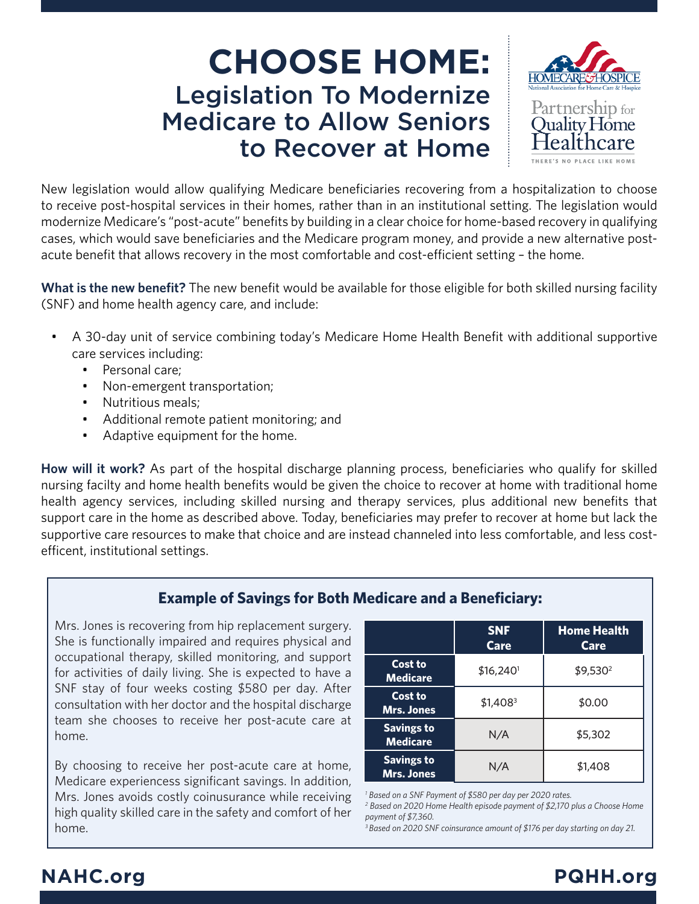# **CHOOSE HOME:** Legislation To Modernize Medicare to Allow Seniors to Recover at Home



New legislation would allow qualifying Medicare beneficiaries recovering from a hospitalization to choose to receive post-hospital services in their homes, rather than in an institutional setting. The legislation would modernize Medicare's "post-acute" benefits by building in a clear choice for home-based recovery in qualifying cases, which would save beneficiaries and the Medicare program money, and provide a new alternative postacute benefit that allows recovery in the most comfortable and cost-efficient setting – the home.

**What is the new benefit?** The new benefit would be available for those eligible for both skilled nursing facility (SNF) and home health agency care, and include:

- A 30-day unit of service combining today's Medicare Home Health Benefit with additional supportive care services including:
	- Personal care;
	- Non-emergent transportation;
	- Nutritious meals;
	- Additional remote patient monitoring; and
	- Adaptive equipment for the home.

**How will it work?** As part of the hospital discharge planning process, beneficiaries who qualify for skilled nursing facilty and home health benefits would be given the choice to recover at home with traditional home health agency services, including skilled nursing and therapy services, plus additional new benefits that support care in the home as described above. Today, beneficiaries may prefer to recover at home but lack the supportive care resources to make that choice and are instead channeled into less comfortable, and less costefficent, institutional settings.

### **Example of Savings for Both Medicare and a Beneficiary:**

Mrs. Jones is recovering from hip replacement surgery. She is functionally impaired and requires physical and occupational therapy, skilled monitoring, and support for activities of daily living. She is expected to have a SNF stay of four weeks costing \$580 per day. After consultation with her doctor and the hospital discharge team she chooses to receive her post-acute care at home.

By choosing to receive her post-acute care at home, Medicare experiencess significant savings. In addition, Mrs. Jones avoids costly coinusurance while receiving high quality skilled care in the safety and comfort of her home.

|                                        | <b>SNF</b><br><b>Care</b> | <b>Home Health</b><br>Care |
|----------------------------------------|---------------------------|----------------------------|
| Cost to<br><b>Medicare</b>             | $$16,240$ <sup>1</sup>    | \$9,530 <sup>2</sup>       |
| Cost to<br><b>Mrs. Jones</b>           | $$1,408^3$                | \$0.00                     |
| <b>Savings to</b><br><b>Medicare</b>   | N/A                       | \$5,302                    |
| <b>Savings to</b><br><b>Mrs. Jones</b> | N/A                       | \$1,408                    |

*1 Based on a SNF Payment of \$580 per day per 2020 rates.* 

*2 Based on 2020 Home Health episode payment of \$2,170 plus a Choose Home payment of \$7,360.*

*3 Based on 2020 SNF coinsurance amount of \$176 per day starting on day 21.*

## **NAHC.org PQHH.org**